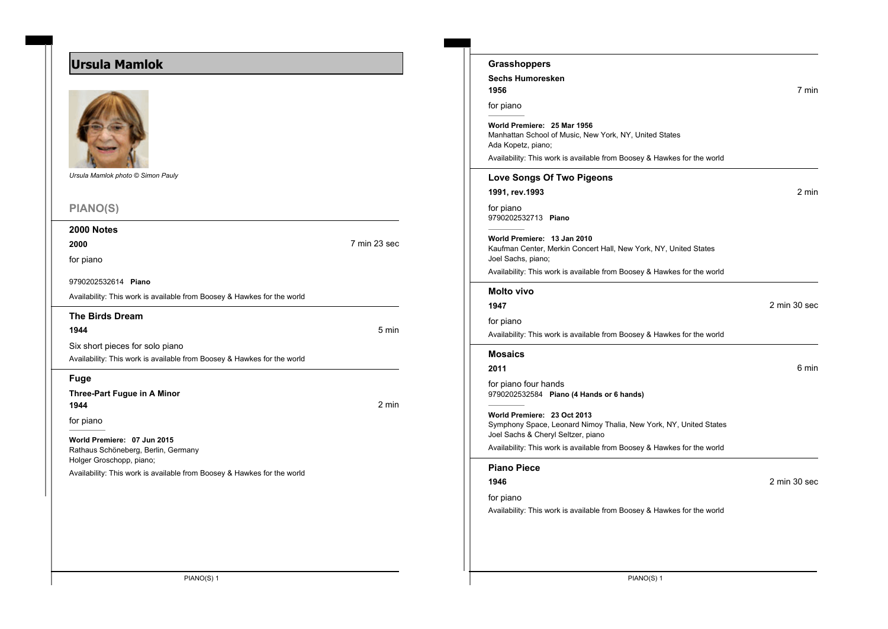# **Ursula Mamlok**



*Ursula Mamlok photo © Simon Pauly*

## **PIANO(S)**

## **2000 Notes**

**2000** 7 min 23 sec

for piano

9790202532614 **Piano**

Availability: This work is available from Boosey & Hawkes for the world

#### **The Birds Dream**

**1944** 5 min

Availability: This work is available from Boosey & Hawkes for the world

### **Fuge**

**Three-Part Fugue in A Minor 1944** 2 min

Six short pieces for solo piano

for piano

**World Premiere: 07 Jun 2015** Rathaus Schöneberg, Berlin, Germany Holger Groschopp, piano;

Availability: This work is available from Boosey & Hawkes for the world

| <b>Grasshoppers</b>                                                                                                                                                                    |              |
|----------------------------------------------------------------------------------------------------------------------------------------------------------------------------------------|--------------|
| <b>Sechs Humoresken</b><br>1956                                                                                                                                                        | 7 min        |
| for piano                                                                                                                                                                              |              |
| World Premiere: 25 Mar 1956<br>Manhattan School of Music, New York, NY, United States<br>Ada Kopetz, piano;<br>Availability: This work is available from Boosey & Hawkes for the world |              |
| Love Songs Of Two Pigeons                                                                                                                                                              |              |
| 1991, rev.1993                                                                                                                                                                         | 2 min        |
| for piano<br>9790202532713 Piano                                                                                                                                                       |              |
| World Premiere: 13 Jan 2010<br>Kaufman Center, Merkin Concert Hall, New York, NY, United States<br>Joel Sachs, piano;                                                                  |              |
| Availability: This work is available from Boosey & Hawkes for the world                                                                                                                |              |
| <b>Molto vivo</b>                                                                                                                                                                      |              |
| 1947                                                                                                                                                                                   | 2 min 30 sec |
| for piano<br>Availability: This work is available from Boosey & Hawkes for the world                                                                                                   |              |
| <b>Mosaics</b>                                                                                                                                                                         |              |
| 2011                                                                                                                                                                                   | 6 min        |
| for piano four hands<br>9790202532584 Piano (4 Hands or 6 hands)                                                                                                                       |              |
| World Premiere: 23 Oct 2013<br>Symphony Space, Leonard Nimoy Thalia, New York, NY, United States<br>Joel Sachs & Cheryl Seltzer, piano                                                 |              |
| Availability: This work is available from Boosey & Hawkes for the world                                                                                                                |              |
| <b>Piano Piece</b>                                                                                                                                                                     |              |
| 1946                                                                                                                                                                                   | 2 min 30 sec |
| for piano<br>Availability: This work is available from Boosey & Hawkes for the world                                                                                                   |              |
|                                                                                                                                                                                        |              |